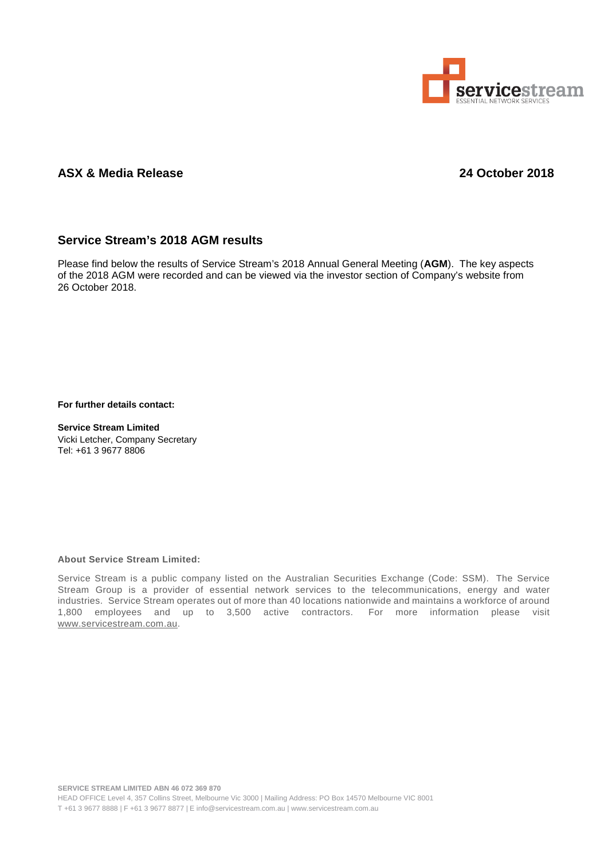

## **ASX & Media Release 24 October 2018**

## **Service Stream's 2018 AGM results**

Please find below the results of Service Stream's 2018 Annual General Meeting (**AGM**). The key aspects of the 2018 AGM were recorded and can be viewed via the investor section of Company's website from 26 October 2018.

**For further details contact:**

**Service Stream Limited** Vicki Letcher, Company Secretary Tel: +61 3 9677 8806

## **About Service Stream Limited:**

Service Stream is a public company listed on the Australian Securities Exchange (Code: SSM). The Service Stream Group is a provider of essential network services to the telecommunications, energy and water industries. Service Stream operates out of more than 40 locations nationwide and maintains a workforce of around 1,800 employees and up to 3,500 active contractors. For more information please visit [www.servicestream.com.au.](http://www.servicestream.com.au/)